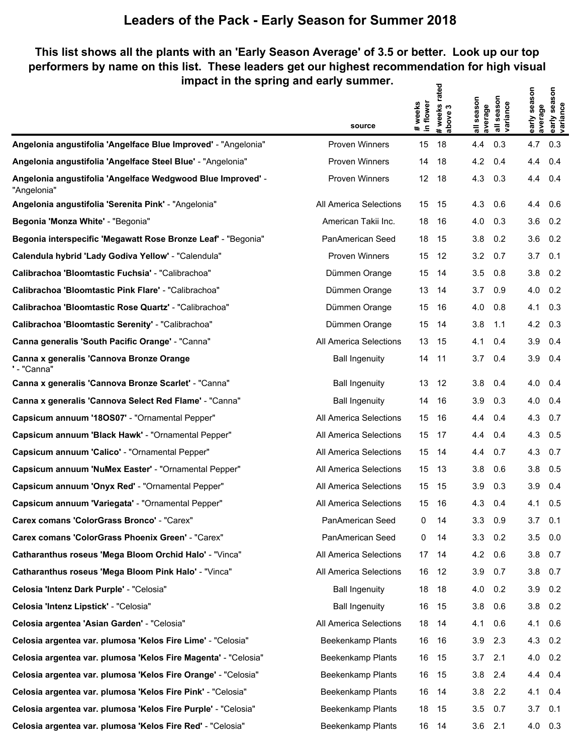### **This list shows all the plants with an 'Early Season Average' of 3.5 or better. Look up our top performers by name on this list. These leaders get our highest recommendation for high visual impact in the spring and early summer.**  $\mathbf{z}$

|                                                                            | source                 | in flower<br># weeks | #weeks rate<br>above 3 | all season<br>average | season<br>all seasor<br> variance | early season<br>average | early season<br>variance |
|----------------------------------------------------------------------------|------------------------|----------------------|------------------------|-----------------------|-----------------------------------|-------------------------|--------------------------|
| Angelonia angustifolia 'Angelface Blue Improved' - "Angelonia"             | <b>Proven Winners</b>  | 15                   | 18                     | 4.4                   | 0.3                               | 4.7                     | 0.3                      |
| Angelonia angustifolia 'Angelface Steel Blue' - "Angelonia"                | <b>Proven Winners</b>  | 14                   | 18                     | 4.2                   | 0.4                               | 4.4                     | 0.4                      |
| Angelonia angustifolia 'Angelface Wedgwood Blue Improved' -<br>"Angelonia" | <b>Proven Winners</b>  | 12                   | 18                     | 4.3                   | 0.3                               | 4.4                     | 0.4                      |
| Angelonia angustifolia 'Serenita Pink' - "Angelonia"                       | All America Selections | 15                   | 15                     | 4.3                   | 0.6                               | 4.4                     | 0.6                      |
| Begonia 'Monza White' - "Begonia"                                          | American Takii Inc.    | 18                   | -16                    | 4.0                   | 0.3                               | 3.6                     | 0.2                      |
| Begonia interspecific 'Megawatt Rose Bronze Leaf' - "Begonia"              | PanAmerican Seed       | 18                   | 15                     | 3.8                   | 0.2                               | 3.6                     | 0.2                      |
| Calendula hybrid 'Lady Godiva Yellow' - "Calendula"                        | <b>Proven Winners</b>  | 15                   | 12                     | 3.2                   | 0.7                               | 3.7                     | 0.1                      |
| Calibrachoa 'Bloomtastic Fuchsia' - "Calibrachoa"                          | Dümmen Orange          | 15                   | 14                     | 3.5                   | 0.8                               | 3.8                     | 0.2                      |
| Calibrachoa 'Bloomtastic Pink Flare' - "Calibrachoa"                       | Dümmen Orange          | 13                   | 14                     | 3.7                   | 0.9                               | 4.0                     | 0.2                      |
| Calibrachoa 'Bloomtastic Rose Quartz' - "Calibrachoa"                      | Dümmen Orange          | 15                   | 16                     | 4.0                   | 0.8                               | 4.1                     | 0.3                      |
| Calibrachoa 'Bloomtastic Serenity' - "Calibrachoa"                         | Dümmen Orange          | 15                   | 14                     | 3.8                   | 1.1                               | 4.2                     | 0.3                      |
| Canna generalis 'South Pacific Orange' - "Canna"                           | All America Selections | 13                   | 15                     | 4.1                   | 0.4                               | 3.9                     | 0.4                      |
| Canna x generalis 'Cannova Bronze Orange<br>' - "Canna"                    | <b>Ball Ingenuity</b>  | 14                   | 11                     | 3.7                   | 0.4                               | 3.9                     | 0.4                      |
| Canna x generalis 'Cannova Bronze Scarlet' - "Canna"                       | <b>Ball Ingenuity</b>  | 13                   | 12                     | 3.8                   | 0.4                               | 4.0                     | 0.4                      |
| Canna x generalis 'Cannova Select Red Flame' - "Canna"                     | <b>Ball Ingenuity</b>  | 14                   | 16                     | 3.9                   | 0.3                               | 4.0                     | 0.4                      |
| Capsicum annuum '180S07' - "Ornamental Pepper"                             | All America Selections | 15                   | 16                     | 4.4                   | 0.4                               | 4.3                     | 0.7                      |
| Capsicum annuum 'Black Hawk' - "Ornamental Pepper"                         | All America Selections | 15                   | 17                     | 4.4                   | 0.4                               | 4.3                     | 0.5                      |
| Capsicum annuum 'Calico' - "Ornamental Pepper"                             | All America Selections | 15                   | 14                     | 4.4                   | 0.7                               | 4.3                     | 0.7                      |
| Capsicum annuum 'NuMex Easter' - "Ornamental Pepper"                       | All America Selections | 15                   | 13                     | 3.8                   | 0.6                               | 3.8                     | 0.5                      |
| Capsicum annuum 'Onyx Red' - "Ornamental Pepper"                           | All America Selections | 15                   | 15                     | 3.9                   | 0.3                               | 3.9                     | 0.4                      |
| Capsicum annuum 'Variegata' - "Ornamental Pepper"                          | All America Selections | 15                   | 16                     | 4.3                   | 0.4                               | 4.1                     | 0.5                      |
| Carex comans 'ColorGrass Bronco' - "Carex"                                 | PanAmerican Seed       | 0                    | 14                     | 3.3                   | 0.9                               | 3.7                     | 0.1                      |
| Carex comans 'ColorGrass Phoenix Green' - "Carex"                          | PanAmerican Seed       | 0                    | 14                     | 3.3                   | 0.2                               | 3.5                     | 0.0                      |
| Catharanthus roseus 'Mega Bloom Orchid Halo' - "Vinca"                     | All America Selections | 17                   | 14                     | 4.2                   | 0.6                               | 3.8                     | 0.7                      |
| Catharanthus roseus 'Mega Bloom Pink Halo' - "Vinca"                       | All America Selections | 16                   | 12                     | 3.9                   | 0.7                               | 3.8                     | 0.7                      |
| Celosia 'Intenz Dark Purple' - "Celosia"                                   | <b>Ball Ingenuity</b>  | 18                   | 18                     | 4.0                   | 0.2                               | 3.9                     | 0.2                      |
| Celosia 'Intenz Lipstick' - "Celosia"                                      | <b>Ball Ingenuity</b>  | 16                   | 15                     | 3.8                   | 0.6                               | 3.8                     | 0.2                      |
| Celosia argentea 'Asian Garden' - "Celosia"                                | All America Selections | 18                   | 14                     | 4.1                   | 0.6                               | 4.1                     | 0.6                      |
| Celosia argentea var. plumosa 'Kelos Fire Lime' - "Celosia"                | Beekenkamp Plants      | 16                   | 16                     | 3.9                   | 2.3                               | 4.3                     | 0.2                      |
| Celosia argentea var. plumosa 'Kelos Fire Magenta' - "Celosia"             | Beekenkamp Plants      | 16                   | 15                     | 3.7                   | 2.1                               | 4.0                     | 0.2                      |
| Celosia argentea var. plumosa 'Kelos Fire Orange' - "Celosia"              | Beekenkamp Plants      | 16                   | 15                     | 3.8                   | 2.4                               | 4.4                     | 0.4                      |
| Celosia argentea var. plumosa 'Kelos Fire Pink' - "Celosia"                | Beekenkamp Plants      | 16                   | 14                     | 3.8                   | 2.2                               | 4.1                     | 0.4                      |
| Celosia argentea var. plumosa 'Kelos Fire Purple' - "Celosia"              | Beekenkamp Plants      | 18                   | 15                     | 3.5                   | 0.7                               | 3.7                     | 0.1                      |
| Celosia argentea var. plumosa 'Kelos Fire Red' - "Celosia"                 | Beekenkamp Plants      |                      | 16 14                  | $3.6$ 2.1             |                                   |                         | 4.0 0.3                  |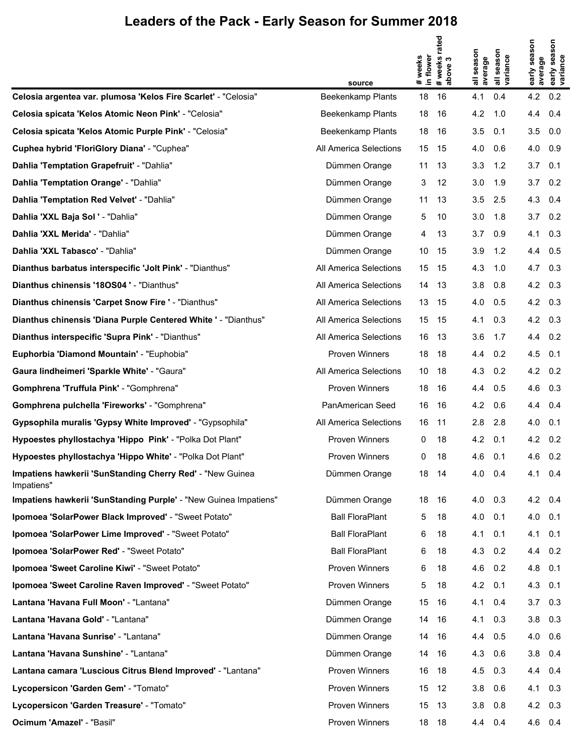|                                                                         |                          |                    | # weeks rated<br>above 3 |                   |                                  |                         | early season<br>variance |
|-------------------------------------------------------------------------|--------------------------|--------------------|--------------------------|-------------------|----------------------------------|-------------------------|--------------------------|
|                                                                         |                          | in flower<br>weeks |                          | season<br>average | season<br>all seasor<br>variance | early season<br>average |                          |
|                                                                         | source                   | #                  |                          |                   |                                  |                         |                          |
| Celosia argentea var. plumosa 'Kelos Fire Scarlet' - "Celosia"          | <b>Beekenkamp Plants</b> | 18                 | 16                       | 4.1               | 0.4                              | 4.2                     | 0.2                      |
| Celosia spicata 'Kelos Atomic Neon Pink' - "Celosia"                    | <b>Beekenkamp Plants</b> | 18                 | 16                       | 4.2               | 1.0                              | 4.4                     | 0.4                      |
| Celosia spicata 'Kelos Atomic Purple Pink' - "Celosia"                  | Beekenkamp Plants        | 18                 | 16                       | 3.5               | 0.1                              | 3.5                     | 0.0                      |
| Cuphea hybrid 'FloriGlory Diana' - "Cuphea"                             | All America Selections   | 15                 | -15                      | 4.0               | 0.6                              | 4.0                     | 0.9                      |
| Dahlia 'Temptation Grapefruit' - "Dahlia"                               | Dümmen Orange            | 11                 | 13                       | 3.3               | 1.2                              | 3.7                     | 0.1                      |
| Dahlia 'Temptation Orange' - "Dahlia"                                   | Dümmen Orange            | 3                  | 12                       | 3.0               | 1.9                              | 3.7                     | 0.2                      |
| Dahlia 'Temptation Red Velvet' - "Dahlia"                               | Dümmen Orange            | 11                 | 13                       | 3.5               | 2.5                              | 4.3                     | 0.4                      |
| Dahlia 'XXL Baja Sol ' - "Dahlia"                                       | Dümmen Orange            | 5                  | 10                       | 3.0               | 1.8                              | 3.7                     | 0.2                      |
| Dahlia 'XXL Merida' - "Dahlia"                                          | Dümmen Orange            | 4                  | 13                       | 3.7               | 0.9                              | 4.1                     | 0.3                      |
| Dahlia 'XXL Tabasco' - "Dahlia"                                         | Dümmen Orange            | 10                 | -15                      | 3.9               | 1.2                              | 4.4                     | 0.5                      |
| Dianthus barbatus interspecific 'Jolt Pink' - "Dianthus"                | All America Selections   | 15                 | 15                       | 4.3               | 1.0                              | 4.7                     | 0.3                      |
| Dianthus chinensis '180S04 ' - "Dianthus"                               | All America Selections   | 14                 | - 13                     | 3.8               | 0.8                              | 4.2 0.3                 |                          |
| Dianthus chinensis 'Carpet Snow Fire ' - "Dianthus"                     | All America Selections   | 13                 | - 15                     | 4.0               | 0.5                              | 4.2                     | 0.3                      |
| Dianthus chinensis 'Diana Purple Centered White ' - "Dianthus"          | All America Selections   | 15                 | - 15                     | 4.1               | 0.3                              | 4.2                     | 0.3                      |
| Dianthus interspecific 'Supra Pink' - "Dianthus"                        | All America Selections   | 16                 | - 13                     | 3.6               | 1.7                              | 4.4                     | 0.2                      |
| Euphorbia 'Diamond Mountain' - "Euphobia"                               | Proven Winners           | 18                 | -18                      | 4.4               | 0.2                              | 4.5                     | 0.1                      |
| Gaura lindheimeri 'Sparkle White' - "Gaura"                             | All America Selections   | 10                 | -18                      | 4.3               | 0.2                              | 4.2                     | 0.2                      |
| Gomphrena 'Truffula Pink' - "Gomphrena"                                 | Proven Winners           | 18                 | 16                       | 4.4               | 0.5                              | 4.6                     | 0.3                      |
| Gomphrena pulchella 'Fireworks' - "Gomphrena"                           | PanAmerican Seed         | 16                 | 16                       | 4.2               | 0.6                              | 4.4                     | 0.4                      |
| Gypsophila muralis 'Gypsy White Improved' - "Gypsophila"                | All America Selections   | 16                 | -11                      | 2.8               | 2.8                              | 4.0                     | 0.1                      |
| Hypoestes phyllostachya 'Hippo Pink' - "Polka Dot Plant"                | Proven Winners           | 0                  | 18                       | 4.2               | 0.1                              | 4.2                     | 0.2                      |
| Hypoestes phyllostachya 'Hippo White' - "Polka Dot Plant"               | Proven Winners           | 0                  | 18                       | 4.6               | 0.1                              | 4.6 0.2                 |                          |
| Impatiens hawkerii 'SunStanding Cherry Red' - "New Guinea<br>Impatiens" | Dümmen Orange            | 18 14              |                          | 4.0               | 0.4                              | 4.1 0.4                 |                          |
| Impatiens hawkerii 'SunStanding Purple' - "New Guinea Impatiens"        | Dümmen Orange            | 18                 | 16                       | 4.0               | 0.3                              | 4.2                     | 0.4                      |
| Ipomoea 'SolarPower Black Improved' - "Sweet Potato"                    | <b>Ball FloraPlant</b>   | 5                  | 18                       | 4.0               | 0.1                              | 4.0                     | 0.1                      |
| Ipomoea 'SolarPower Lime Improved' - "Sweet Potato"                     | <b>Ball FloraPlant</b>   | 6                  | 18                       | 4.1               | 0.1                              | 4.1                     | 0.1                      |
| Ipomoea 'SolarPower Red' - "Sweet Potato"                               | <b>Ball FloraPlant</b>   | 6                  | 18                       | 4.3               | 0.2                              | 4.4                     | 0.2                      |
| Ipomoea 'Sweet Caroline Kiwi' - "Sweet Potato"                          | Proven Winners           | 6                  | 18                       | 4.6               | 0.2                              | 4.8                     | 0.1                      |
| Ipomoea 'Sweet Caroline Raven Improved' - "Sweet Potato"                | <b>Proven Winners</b>    | 5                  | 18                       | 4.2               | 0.1                              | 4.3                     | 0.1                      |
| Lantana 'Havana Full Moon' - "Lantana"                                  | Dümmen Orange            | 15                 | 16                       | 4.1               | 0.4                              | 3.7                     | 0.3                      |
| Lantana 'Havana Gold' - "Lantana"                                       | Dümmen Orange            | 14                 | 16                       | 4.1               | 0.3                              | 3.8                     | 0.3                      |
| Lantana 'Havana Sunrise' - "Lantana"                                    | Dümmen Orange            | 14                 | 16                       | 4.4               | 0.5                              | 4.0                     | 0.6                      |
| Lantana 'Havana Sunshine' - "Lantana"                                   | Dümmen Orange            | 14                 | 16                       | 4.3               | 0.6                              | 3.8                     | 0.4                      |
| Lantana camara 'Luscious Citrus Blend Improved' - "Lantana"             | <b>Proven Winners</b>    | 16                 | 18                       | 4.5               | 0.3                              | 4.4                     | 0.4                      |
| Lycopersicon 'Garden Gem' - "Tomato"                                    | <b>Proven Winners</b>    | 15                 | 12                       | 3.8               | 0.6                              | 4.1                     | 0.3                      |
| Lycopersicon 'Garden Treasure' - "Tomato"                               | Proven Winners           | 15                 | 13                       | 3.8               | 0.8                              | 4.2                     | 0.3                      |
| Ocimum 'Amazel' - "Basil"                                               | Proven Winners           | 18 18              |                          | 4.4               | 0.4                              | 4.6 0.4                 |                          |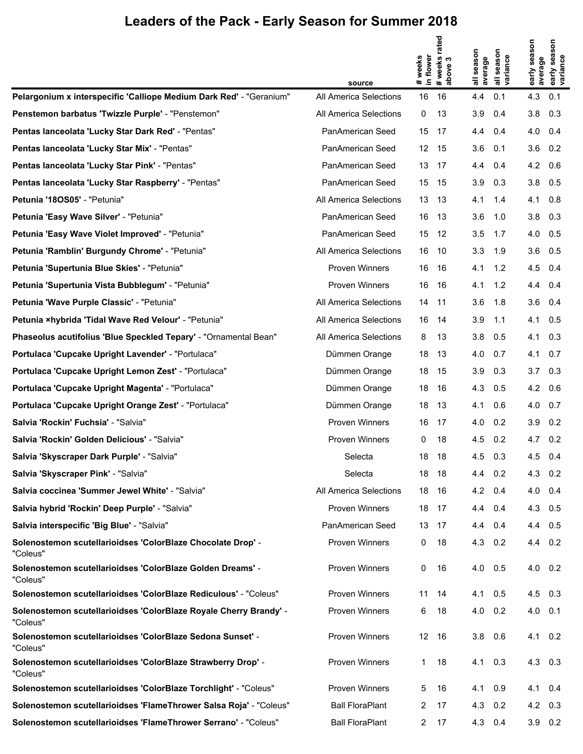|                                                                               |                        |                      | # weeks rated<br>above 3 |                   |                                  | early season    | early season<br>variance |
|-------------------------------------------------------------------------------|------------------------|----------------------|--------------------------|-------------------|----------------------------------|-----------------|--------------------------|
|                                                                               |                        | # weeks<br>in flower |                          | season<br>average | season<br>all seasor<br>variance | average         |                          |
|                                                                               | source                 |                      |                          |                   |                                  |                 |                          |
| Pelargonium x interspecific 'Calliope Medium Dark Red' - "Geranium"           | All America Selections | 16                   | 16                       | 4.4               | 0.1                              | 4.3             | 0.1                      |
| Penstemon barbatus 'Twizzle Purple' - "Penstemon"                             | All America Selections | 0                    | 13                       | 3.9               | 0.4                              | 3.8             | 0.3                      |
| Pentas lanceolata 'Lucky Star Dark Red' - "Pentas"                            | PanAmerican Seed       | 15                   | 17                       | 4.4               | 0.4                              | 4.0             | 0.4                      |
| Pentas lanceolata 'Lucky Star Mix' - "Pentas"                                 | PanAmerican Seed       | 12 15                |                          | 3.6               | 0.1                              | 3.6             | 0.2                      |
| Pentas lanceolata 'Lucky Star Pink' - "Pentas"                                | PanAmerican Seed       | 13 17                |                          | 4.4               | 0.4                              | 4.2             | 0.6                      |
| Pentas lanceolata 'Lucky Star Raspberry' - "Pentas"                           | PanAmerican Seed       | 15 15                |                          | 3.9               | 0.3                              | 3.8             | 0.5                      |
| Petunia '180S05' - "Petunia"                                                  | All America Selections | 13 13                |                          | 4.1               | 1.4                              | 4.1             | 0.8                      |
| Petunia 'Easy Wave Silver' - "Petunia"                                        | PanAmerican Seed       | 16 13                |                          | 3.6               | 1.0                              | 3.8             | 0.3                      |
| Petunia 'Easy Wave Violet Improved' - "Petunia"                               | PanAmerican Seed       | 15 12                |                          | 3.5               | 1.7                              | 4.0             | 0.5                      |
| Petunia 'Ramblin' Burgundy Chrome' - "Petunia"                                | All America Selections | 16                   | - 10                     | 3.3               | 1.9                              | 3.6             | 0.5                      |
| Petunia 'Supertunia Blue Skies' - "Petunia"                                   | Proven Winners         | 16                   | 16                       | 4.1               | 1.2                              | 4.5             | 0.4                      |
| Petunia 'Supertunia Vista Bubblegum' - "Petunia"                              | Proven Winners         | 16                   | 16                       | 4.1               | 1.2                              | 4.4             | 0.4                      |
| Petunia 'Wave Purple Classic' - "Petunia"                                     | All America Selections | 14                   | 11                       | 3.6               | 1.8                              | 3.6             | 0.4                      |
| Petunia ×hybrida 'Tidal Wave Red Velour' - "Petunia"                          | All America Selections | 16                   | 14                       | 3.9               | 1.1                              | 4.1             | 0.5                      |
| Phaseolus acutifolius 'Blue Speckled Tepary' - "Ornamental Bean"              | All America Selections | 8                    | 13                       | 3.8               | 0.5                              | 4.1             | 0.3                      |
| Portulaca 'Cupcake Upright Lavender' - "Portulaca"                            | Dümmen Orange          | 18                   | 13                       | 4.0               | 0.7                              | 4.1             | 0.7                      |
| Portulaca 'Cupcake Upright Lemon Zest' - "Portulaca"                          | Dümmen Orange          | 18                   | 15                       | 3.9               | 0.3                              | 3.7             | 0.3                      |
| Portulaca 'Cupcake Upright Magenta' - "Portulaca"                             | Dümmen Orange          | 18                   | 16                       | 4.3               | 0.5                              | 4.2             | 0.6                      |
| Portulaca 'Cupcake Upright Orange Zest' - "Portulaca"                         | Dümmen Orange          | 18                   | 13                       | 4.1               | 0.6                              | 4.0             | 0.7                      |
| Salvia 'Rockin' Fuchsia' - "Salvia"                                           | Proven Winners         | 16                   | -17                      | 4.0               | 0.2                              | 3.9             | 0.2                      |
| Salvia 'Rockin' Golden Delicious' - "Salvia"                                  | Proven Winners         | 0                    | 18                       | 4.5               | 0.2                              | 4.7             | 0.2                      |
| Salvia 'Skyscraper Dark Purple' - "Salvia"                                    | Selecta                | 18                   | 18                       | 4.5               | 0.3                              | 4.5 0.4         |                          |
| Salvia 'Skyscraper Pink' - "Salvia"                                           | Selecta                | 18 18                |                          | $4.4 \quad 0.2$   |                                  | $4.3 \quad 0.2$ |                          |
| Salvia coccinea 'Summer Jewel White' - "Salvia"                               | All America Selections | 18                   | 16                       | 4.2               | 0.4                              | 4.0             | 0.4                      |
| Salvia hybrid 'Rockin' Deep Purple' - "Salvia"                                | Proven Winners         | 18 17                |                          | 4.4               | 0.4                              | 4.3 0.5         |                          |
| Salvia interspecific 'Big Blue' - "Salvia"                                    | PanAmerican Seed       | 13 17                |                          | 4.4               | 0.4                              | 4.4 0.5         |                          |
| Solenostemon scutellarioidses 'ColorBlaze Chocolate Drop' -<br>"Coleus"       | Proven Winners         | 0                    | 18                       | 4.3               | 0.2                              | 4.4 0.2         |                          |
| Solenostemon scutellarioidses 'ColorBlaze Golden Dreams' -<br>"Coleus"        | Proven Winners         | 0                    | 16                       | 4.0               | 0.5                              | 4.0             | 0.2                      |
| Solenostemon scutellarioidses 'ColorBlaze Rediculous' - "Coleus"              | <b>Proven Winners</b>  | 11                   | 14                       | 4.1               | 0.5                              | $4.5$ 0.3       |                          |
| Solenostemon scutellarioidses 'ColorBlaze Royale Cherry Brandy' -<br>"Coleus" | Proven Winners         | 6                    | 18                       | 4.0               | 0.2                              | $4.0$ 0.1       |                          |
| Solenostemon scutellarioidses 'ColorBlaze Sedona Sunset' -<br>"Coleus"        | Proven Winners         | 12 <sup>2</sup>      | 16                       | 3.8               | 0.6                              | 4.1             | 0.2                      |
| Solenostemon scutellarioidses 'ColorBlaze Strawberry Drop' -<br>"Coleus"      | Proven Winners         | 1                    | 18                       | 4.1               | 0.3                              | 4.3             | 0.3                      |
| Solenostemon scutellarioidses 'ColorBlaze Torchlight' - "Coleus"              | Proven Winners         | 5                    | 16                       | 4.1               | 0.9                              | 4.1             | 0.4                      |
| Solenostemon scutellarioidses 'FlameThrower Salsa Roja' - "Coleus"            | <b>Ball FloraPlant</b> | 2                    | 17                       | 4.3               | 0.2                              | 4.2             | 0.3                      |
| Solenostemon scutellarioidses 'FlameThrower Serrano' - "Coleus"               | <b>Ball FloraPlant</b> | 2                    | 17                       | 4.3               | 0.4                              | $3.9$ 0.2       |                          |